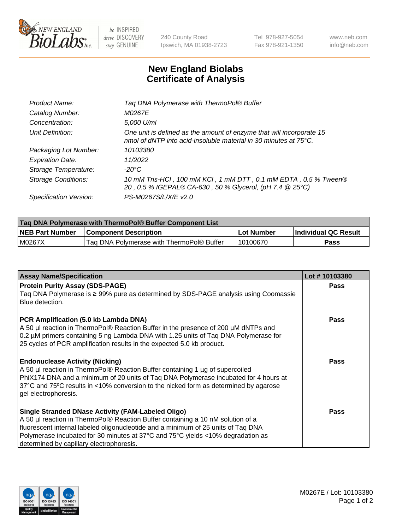

 $be$  INSPIRED drive DISCOVERY stay GENUINE

240 County Road Ipswich, MA 01938-2723 Tel 978-927-5054 Fax 978-921-1350 www.neb.com info@neb.com

## **New England Biolabs Certificate of Analysis**

| Tag DNA Polymerase with ThermoPol® Buffer                                                                                                |
|------------------------------------------------------------------------------------------------------------------------------------------|
| <i>M0267E</i>                                                                                                                            |
| 5,000 U/ml                                                                                                                               |
| One unit is defined as the amount of enzyme that will incorporate 15<br>nmol of dNTP into acid-insoluble material in 30 minutes at 75°C. |
| 10103380                                                                                                                                 |
| 11/2022                                                                                                                                  |
| $-20^{\circ}$ C                                                                                                                          |
| 10 mM Tris-HCl, 100 mM KCl, 1 mM DTT, 0.1 mM EDTA, 0.5 % Tween®<br>20, 0.5 % IGEPAL® CA-630, 50 % Glycerol, (pH 7.4 @ 25°C)              |
| PS-M0267S/L/X/E v2.0                                                                                                                     |
|                                                                                                                                          |

| Tag DNA Polymerase with ThermoPol® Buffer Component List |                                           |                   |                      |  |  |
|----------------------------------------------------------|-------------------------------------------|-------------------|----------------------|--|--|
| <b>NEB Part Number</b>                                   | <b>Component Description</b>              | <b>Lot Number</b> | Individual QC Result |  |  |
| l M0267X                                                 | Tag DNA Polymerase with ThermoPol® Buffer | 10100670          | Pass                 |  |  |

| <b>Assay Name/Specification</b>                                                                                                                                                                                                                                                                                                                           | Lot #10103380 |
|-----------------------------------------------------------------------------------------------------------------------------------------------------------------------------------------------------------------------------------------------------------------------------------------------------------------------------------------------------------|---------------|
| <b>Protein Purity Assay (SDS-PAGE)</b><br>Taq DNA Polymerase is $\geq$ 99% pure as determined by SDS-PAGE analysis using Coomassie<br>Blue detection.                                                                                                                                                                                                     | <b>Pass</b>   |
| <b>PCR Amplification (5.0 kb Lambda DNA)</b><br>A 50 µl reaction in ThermoPol® Reaction Buffer in the presence of 200 µM dNTPs and<br>0.2 µM primers containing 5 ng Lambda DNA with 1.25 units of Taq DNA Polymerase for<br>25 cycles of PCR amplification results in the expected 5.0 kb product.                                                       | <b>Pass</b>   |
| <b>Endonuclease Activity (Nicking)</b><br>A 50 µl reaction in ThermoPol® Reaction Buffer containing 1 µg of supercoiled<br>PhiX174 DNA and a minimum of 20 units of Tag DNA Polymerase incubated for 4 hours at<br>37°C and 75°C results in <10% conversion to the nicked form as determined by agarose<br>gel electrophoresis.                           | <b>Pass</b>   |
| Single Stranded DNase Activity (FAM-Labeled Oligo)<br>A 50 µl reaction in ThermoPol® Reaction Buffer containing a 10 nM solution of a<br>fluorescent internal labeled oligonucleotide and a minimum of 25 units of Taq DNA<br>Polymerase incubated for 30 minutes at 37°C and 75°C yields <10% degradation as<br>determined by capillary electrophoresis. | Pass          |